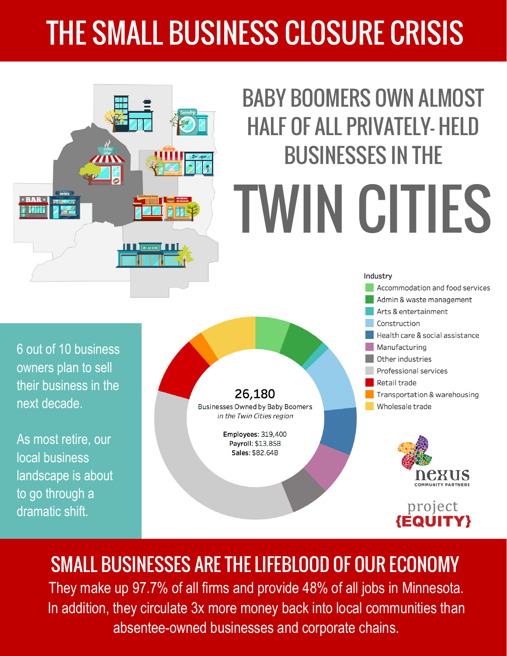## THE SMALL BUSINESS CLOSURE CRISIS



SMALL BUSINESSES ARE THE LIFEBLOOD OF OUR ECONOMY They make up 97.7% of all firms and provide 48% of all jobs in Minnesota. In addition, they circulate 3x more money back into local communities than absentee-owned businesses and corporate chains.